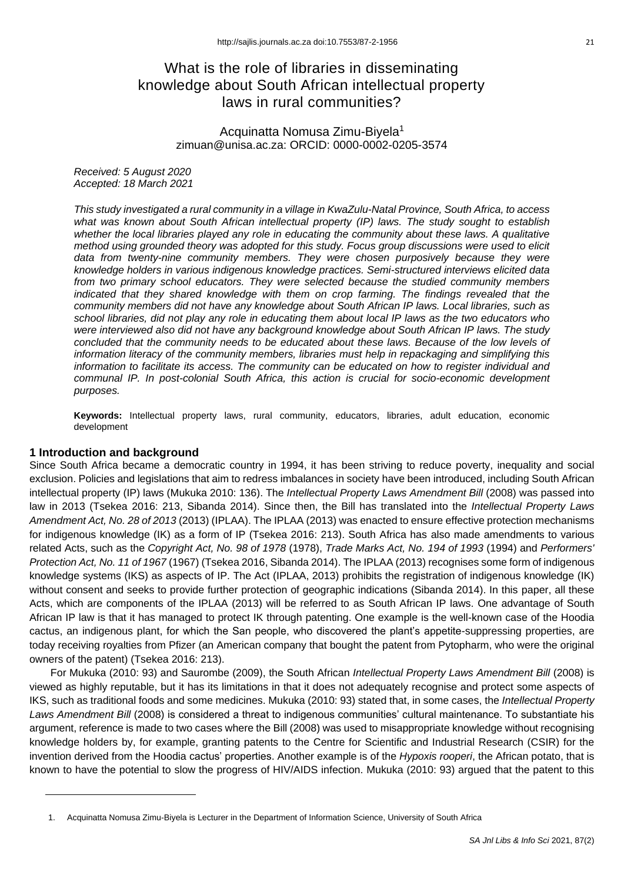# What is the role of libraries in disseminating knowledge about South African intellectual property laws in rural communities?

Acquinatta Nomusa Zimu-Biyela<sup>1</sup> zimuan@unisa.ac.za: ORCID: 0000-0002-0205-3574

*Received: 5 August 2020 Accepted: 18 March 2021*

*This study investigated a rural community in a village in KwaZulu-Natal Province, South Africa, to access what was known about South African intellectual property (IP) laws. The study sought to establish whether the local libraries played any role in educating the community about these laws. A qualitative method using grounded theory was adopted for this study. Focus group discussions were used to elicit data from twenty-nine community members. They were chosen purposively because they were knowledge holders in various indigenous knowledge practices. Semi-structured interviews elicited data from two primary school educators. They were selected because the studied community members indicated that they shared knowledge with them on crop farming. The findings revealed that the community members did not have any knowledge about South African IP laws. Local libraries, such as school libraries, did not play any role in educating them about local IP laws as the two educators who were interviewed also did not have any background knowledge about South African IP laws. The study concluded that the community needs to be educated about these laws. Because of the low levels of information literacy of the community members, libraries must help in repackaging and simplifying this information to facilitate its access. The community can be educated on how to register individual and communal IP. In post-colonial South Africa, this action is crucial for socio-economic development purposes.*

**Keywords:** Intellectual property laws, rural community, educators, libraries, adult education, economic development

## **1 Introduction and background**

Since South Africa became a democratic country in 1994, it has been striving to reduce poverty, inequality and social exclusion. Policies and legislations that aim to redress imbalances in society have been introduced, including South African intellectual property (IP) laws (Mukuka 2010: 136). The *Intellectual Property Laws Amendment Bill* (2008) was passed into law in 2013 (Tsekea 2016: 213, Sibanda 2014). Since then, the Bill has translated into the *Intellectual Property Laws Amendment Act, No. 28 of 2013* (2013) (IPLAA). The IPLAA (2013) was enacted to ensure effective protection mechanisms for indigenous knowledge (IK) as a form of IP (Tsekea 2016: 213). South Africa has also made amendments to various related Acts, such as the *Copyright Act, No. 98 of 1978* (1978), *Trade Marks Act, No. 194 of 1993* (1994) and *Performers' Protection Act, No. 11 of 1967* (1967) (Tsekea 2016, Sibanda 2014). The IPLAA (2013) recognises some form of indigenous knowledge systems (IKS) as aspects of IP. The Act (IPLAA, 2013) prohibits the registration of indigenous knowledge (IK) without consent and seeks to provide further protection of geographic indications (Sibanda 2014). In this paper, all these Acts, which are components of the IPLAA (2013) will be referred to as South African IP laws. One advantage of South African IP law is that it has managed to protect IK through patenting. One example is the well-known case of the Hoodia cactus, an indigenous plant, for which the San people, who discovered the plant's appetite-suppressing properties, are today receiving royalties from Pfizer (an American company that bought the patent from Pytopharm, who were the original owners of the patent) (Tsekea 2016: 213).

For Mukuka (2010: 93) and Saurombe (2009), the South African *Intellectual Property Laws Amendment Bill* (2008) is viewed as highly reputable, but it has its limitations in that it does not adequately recognise and protect some aspects of IKS, such as traditional foods and some medicines. Mukuka (2010: 93) stated that, in some cases, the *Intellectual Property Laws Amendment Bill* (2008) is considered a threat to indigenous communities' cultural maintenance. To substantiate his argument, reference is made to two cases where the Bill (2008) was used to misappropriate knowledge without recognising knowledge holders by, for example, granting patents to the Centre for Scientific and Industrial Research (CSIR) for the invention derived from the Hoodia cactus' properties. Another example is of the *Hypoxis rooperi*, the African potato, that is known to have the potential to slow the progress of HIV/AIDS infection. Mukuka (2010: 93) argued that the patent to this

<sup>1.</sup> Acquinatta Nomusa Zimu-Biyela is Lecturer in the Department of Information Science, University of South Africa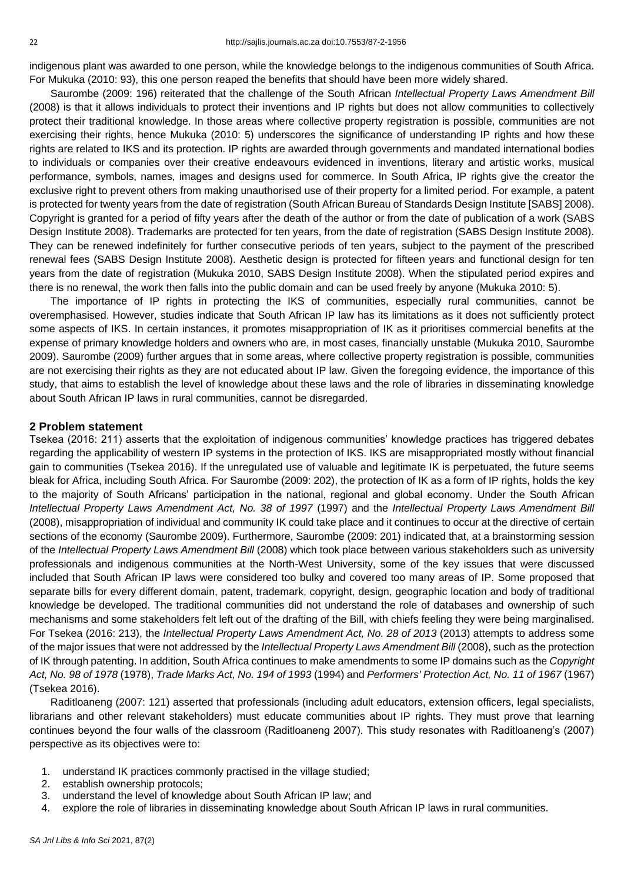indigenous plant was awarded to one person, while the knowledge belongs to the indigenous communities of South Africa. For Mukuka (2010: 93), this one person reaped the benefits that should have been more widely shared.

Saurombe (2009: 196) reiterated that the challenge of the South African *Intellectual Property Laws Amendment Bill* (2008) is that it allows individuals to protect their inventions and IP rights but does not allow communities to collectively protect their traditional knowledge. In those areas where collective property registration is possible, communities are not exercising their rights, hence Mukuka (2010: 5) underscores the significance of understanding IP rights and how these rights are related to IKS and its protection. IP rights are awarded through governments and mandated international bodies to individuals or companies over their creative endeavours evidenced in inventions, literary and artistic works, musical performance, symbols, names, images and designs used for commerce. In South Africa, IP rights give the creator the exclusive right to prevent others from making unauthorised use of their property for a limited period. For example, a patent is protected for twenty years from the date of registration (South African Bureau of Standards Design Institute [SABS] 2008). Copyright is granted for a period of fifty years after the death of the author or from the date of publication of a work (SABS Design Institute 2008). Trademarks are protected for ten years, from the date of registration (SABS Design Institute 2008). They can be renewed indefinitely for further consecutive periods of ten years, subject to the payment of the prescribed renewal fees (SABS Design Institute 2008). Aesthetic design is protected for fifteen years and functional design for ten years from the date of registration (Mukuka 2010, SABS Design Institute 2008). When the stipulated period expires and there is no renewal, the work then falls into the public domain and can be used freely by anyone (Mukuka 2010: 5).

The importance of IP rights in protecting the IKS of communities, especially rural communities, cannot be overemphasised. However, studies indicate that South African IP law has its limitations as it does not sufficiently protect some aspects of IKS. In certain instances, it promotes misappropriation of IK as it prioritises commercial benefits at the expense of primary knowledge holders and owners who are, in most cases, financially unstable (Mukuka 2010, Saurombe 2009). Saurombe (2009) further argues that in some areas, where collective property registration is possible, communities are not exercising their rights as they are not educated about IP law. Given the foregoing evidence, the importance of this study, that aims to establish the level of knowledge about these laws and the role of libraries in disseminating knowledge about South African IP laws in rural communities, cannot be disregarded.

#### **2 Problem statement**

Tsekea (2016: 211) asserts that the exploitation of indigenous communities' knowledge practices has triggered debates regarding the applicability of western IP systems in the protection of IKS. IKS are misappropriated mostly without financial gain to communities (Tsekea 2016). If the unregulated use of valuable and legitimate IK is perpetuated, the future seems bleak for Africa, including South Africa. For Saurombe (2009: 202), the protection of IK as a form of IP rights, holds the key to the majority of South Africans' participation in the national, regional and global economy. Under the South African *Intellectual Property Laws Amendment Act, No. 38 of 1997* (1997) and the *Intellectual Property Laws Amendment Bill* (2008), misappropriation of individual and community IK could take place and it continues to occur at the directive of certain sections of the economy (Saurombe 2009). Furthermore, Saurombe (2009: 201) indicated that, at a brainstorming session of the *Intellectual Property Laws Amendment Bill* (2008) which took place between various stakeholders such as university professionals and indigenous communities at the North-West University, some of the key issues that were discussed included that South African IP laws were considered too bulky and covered too many areas of IP. Some proposed that separate bills for every different domain, patent, trademark, copyright, design, geographic location and body of traditional knowledge be developed. The traditional communities did not understand the role of databases and ownership of such mechanisms and some stakeholders felt left out of the drafting of the Bill, with chiefs feeling they were being marginalised. For Tsekea (2016: 213), the *Intellectual Property Laws Amendment Act, No. 28 of 2013* (2013) attempts to address some of the major issues that were not addressed by the *Intellectual Property Laws Amendment Bill* (2008), such as the protection of IK through patenting. In addition, South Africa continues to make amendments to some IP domains such as the *Copyright Act, No. 98 of 1978* (1978), *Trade Marks Act, No. 194 of 1993* (1994) and *Performers' Protection Act, No. 11 of 1967* (1967) (Tsekea 2016).

Raditloaneng (2007: 121) asserted that professionals (including adult educators, extension officers, legal specialists, librarians and other relevant stakeholders) must educate communities about IP rights. They must prove that learning continues beyond the four walls of the classroom (Raditloaneng 2007). This study resonates with Raditloaneng's (2007) perspective as its objectives were to:

- 1. understand IK practices commonly practised in the village studied;
- 2. establish ownership protocols;
- 3. understand the level of knowledge about South African IP law; and
- 4. explore the role of libraries in disseminating knowledge about South African IP laws in rural communities.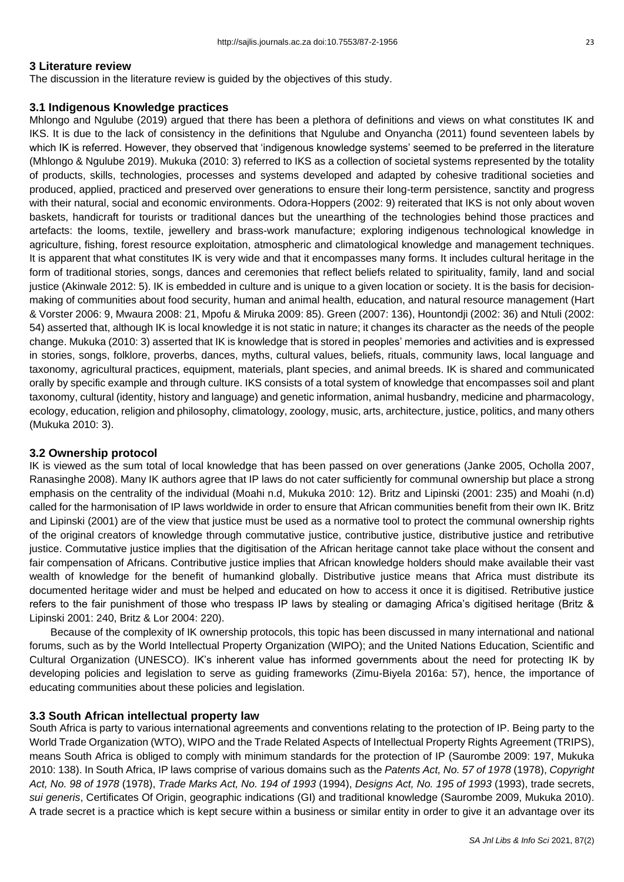#### **3 Literature review**

The discussion in the literature review is guided by the objectives of this study.

#### **3.1 Indigenous Knowledge practices**

Mhlongo and Ngulube (2019) argued that there has been a plethora of definitions and views on what constitutes IK and IKS. It is due to the lack of consistency in the definitions that Ngulube and Onyancha (2011) found seventeen labels by which IK is referred. However, they observed that 'indigenous knowledge systems' seemed to be preferred in the literature (Mhlongo & Ngulube 2019). Mukuka (2010: 3) referred to IKS as a collection of societal systems represented by the totality of products, skills, technologies, processes and systems developed and adapted by cohesive traditional societies and produced, applied, practiced and preserved over generations to ensure their long-term persistence, sanctity and progress with their natural, social and economic environments. Odora-Hoppers (2002: 9) reiterated that IKS is not only about woven baskets, handicraft for tourists or traditional dances but the unearthing of the technologies behind those practices and artefacts: the looms, textile, jewellery and brass-work manufacture; exploring indigenous technological knowledge in agriculture, fishing, forest resource exploitation, atmospheric and climatological knowledge and management techniques. It is apparent that what constitutes IK is very wide and that it encompasses many forms. It includes cultural heritage in the form of traditional stories, songs, dances and ceremonies that reflect beliefs related to spirituality, family, land and social justice (Akinwale 2012: 5). IK is embedded in culture and is unique to a given location or society. It is the basis for decisionmaking of communities about food security, human and animal health, education, and natural resource management (Hart & Vorster 2006: 9, Mwaura 2008: 21, Mpofu & Miruka 2009: 85). Green (2007: 136), Hountondji (2002: 36) and Ntuli (2002: 54) asserted that, although IK is local knowledge it is not static in nature; it changes its character as the needs of the people change. Mukuka (2010: 3) asserted that IK is knowledge that is stored in peoples' memories and activities and is expressed in stories, songs, folklore, proverbs, dances, myths, cultural values, beliefs, rituals, community laws, local language and taxonomy, agricultural practices, equipment, materials, plant species, and animal breeds. IK is shared and communicated orally by specific example and through culture. IKS consists of a total system of knowledge that encompasses soil and plant taxonomy, cultural (identity, history and language) and genetic information, animal husbandry, medicine and pharmacology, ecology, education, religion and philosophy, climatology, zoology, music, arts, architecture, justice, politics, and many others (Mukuka 2010: 3).

## **3.2 Ownership protocol**

IK is viewed as the sum total of local knowledge that has been passed on over generations (Janke 2005, Ocholla 2007, Ranasinghe 2008). Many IK authors agree that IP laws do not cater sufficiently for communal ownership but place a strong emphasis on the centrality of the individual (Moahi n.d, Mukuka 2010: 12). Britz and Lipinski (2001: 235) and Moahi (n.d) called for the harmonisation of IP laws worldwide in order to ensure that African communities benefit from their own IK. Britz and Lipinski (2001) are of the view that justice must be used as a normative tool to protect the communal ownership rights of the original creators of knowledge through commutative justice, contributive justice, distributive justice and retributive justice. Commutative justice implies that the digitisation of the African heritage cannot take place without the consent and fair compensation of Africans. Contributive justice implies that African knowledge holders should make available their vast wealth of knowledge for the benefit of humankind globally. Distributive justice means that Africa must distribute its documented heritage wider and must be helped and educated on how to access it once it is digitised. Retributive justice refers to the fair punishment of those who trespass IP laws by stealing or damaging Africa's digitised heritage (Britz & Lipinski 2001: 240, Britz & Lor 2004: 220).

Because of the complexity of IK ownership protocols, this topic has been discussed in many international and national forums, such as by the World Intellectual Property Organization (WIPO); and the United Nations Education, Scientific and Cultural Organization (UNESCO). IK's inherent value has informed governments about the need for protecting IK by developing policies and legislation to serve as guiding frameworks (Zimu-Biyela 2016a: 57), hence, the importance of educating communities about these policies and legislation.

## **3.3 South African intellectual property law**

South Africa is party to various international agreements and conventions relating to the protection of IP. Being party to the World Trade Organization (WTO), WIPO and the Trade Related Aspects of Intellectual Property Rights Agreement (TRIPS), means South Africa is obliged to comply with minimum standards for the protection of IP (Saurombe 2009: 197, Mukuka 2010: 138). In South Africa, IP laws comprise of various domains such as the *Patents Act, No. 57 of 1978* (1978), *Copyright Act, No. 98 of 1978* (1978), *Trade Marks Act, No. 194 of 1993* (1994), *Designs Act, No. 195 of 1993* (1993), trade secrets, *sui generis*, Certificates Of Origin, geographic indications (GI) and traditional knowledge (Saurombe 2009, Mukuka 2010). A trade secret is a practice which is kept secure within a business or similar entity in order to give it an advantage over its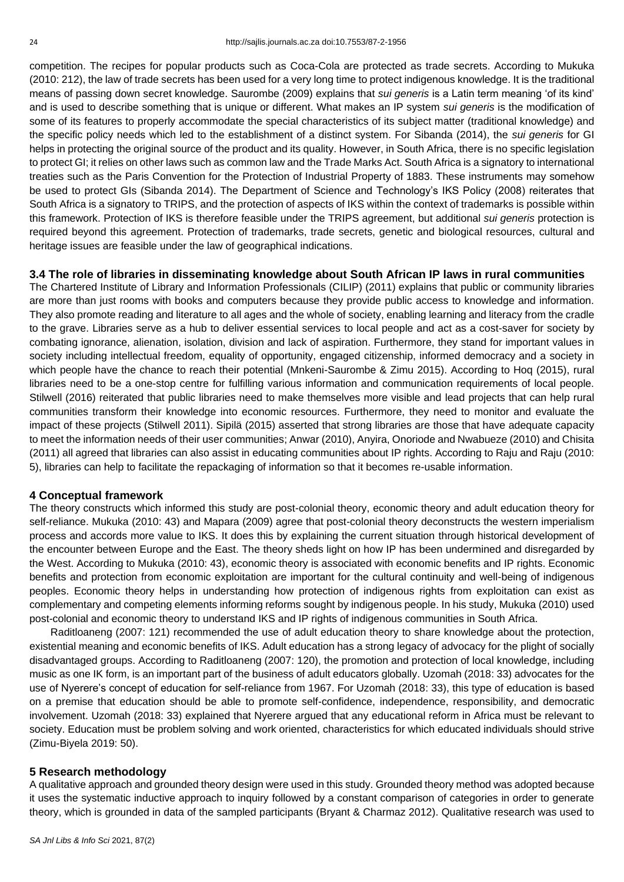competition. The recipes for popular products such as Coca-Cola are protected as trade secrets. According to Mukuka (2010: 212), the law of trade secrets has been used for a very long time to protect indigenous knowledge. It is the traditional means of passing down secret knowledge. Saurombe (2009) explains that *sui generis* is a Latin term meaning 'of its kind' and is used to describe something that is unique or different. What makes an IP system *sui generis* is the modification of some of its features to properly accommodate the special characteristics of its subject matter (traditional knowledge) and the specific policy needs which led to the establishment of a distinct system. For Sibanda (2014), the *sui generis* for GI helps in protecting the original source of the product and its quality. However, in South Africa, there is no specific legislation to protect GI; it relies on other laws such as common law and the Trade Marks Act. South Africa is a signatory to international treaties such as the Paris Convention for the Protection of Industrial Property of 1883. These instruments may somehow be used to protect GIs (Sibanda 2014). The Department of Science and Technology's IKS Policy (2008) reiterates that South Africa is a signatory to TRIPS, and the protection of aspects of IKS within the context of trademarks is possible within this framework. Protection of IKS is therefore feasible under the TRIPS agreement, but additional *sui generis* protection is required beyond this agreement. Protection of trademarks, trade secrets, genetic and biological resources, cultural and heritage issues are feasible under the law of geographical indications.

## **3.4 The role of libraries in disseminating knowledge about South African IP laws in rural communities**

The Chartered Institute of Library and Information Professionals (CILIP) (2011) explains that public or community libraries are more than just rooms with books and computers because they provide public access to knowledge and information. They also promote reading and literature to all ages and the whole of society, enabling learning and literacy from the cradle to the grave. Libraries serve as a hub to deliver essential services to local people and act as a cost-saver for society by combating ignorance, alienation, isolation, division and lack of aspiration. Furthermore, they stand for important values in society including intellectual freedom, equality of opportunity, engaged citizenship, informed democracy and a society in which people have the chance to reach their potential (Mnkeni-Saurombe & Zimu 2015). According to Hoq (2015), rural libraries need to be a one-stop centre for fulfilling various information and communication requirements of local people. Stilwell (2016) reiterated that public libraries need to make themselves more visible and lead projects that can help rural communities transform their knowledge into economic resources. Furthermore, they need to monitor and evaluate the impact of these projects (Stilwell 2011). Sipilä (2015) asserted that strong libraries are those that have adequate capacity to meet the information needs of their user communities; Anwar (2010), Anyira, Onoriode and Nwabueze (2010) and Chisita (2011) all agreed that libraries can also assist in educating communities about IP rights. According to Raju and Raju (2010: 5), libraries can help to facilitate the repackaging of information so that it becomes re-usable information.

#### **4 Conceptual framework**

The theory constructs which informed this study are post-colonial theory, economic theory and adult education theory for self-reliance. Mukuka (2010: 43) and Mapara (2009) agree that post-colonial theory deconstructs the western imperialism process and accords more value to IKS. It does this by explaining the current situation through historical development of the encounter between Europe and the East. The theory sheds light on how IP has been undermined and disregarded by the West. According to Mukuka (2010: 43), economic theory is associated with economic benefits and IP rights. Economic benefits and protection from economic exploitation are important for the cultural continuity and well-being of indigenous peoples. Economic theory helps in understanding how protection of indigenous rights from exploitation can exist as complementary and competing elements informing reforms sought by indigenous people. In his study, Mukuka (2010) used post-colonial and economic theory to understand IKS and IP rights of indigenous communities in South Africa.

Raditloaneng (2007: 121) recommended the use of adult education theory to share knowledge about the protection, existential meaning and economic benefits of IKS. Adult education has a strong legacy of advocacy for the plight of socially disadvantaged groups. According to Raditloaneng (2007: 120), the promotion and protection of local knowledge, including music as one IK form, is an important part of the business of adult educators globally. Uzomah (2018: 33) advocates for the use of Nyerere's concept of education for self-reliance from 1967. For Uzomah (2018: 33), this type of education is based on a premise that education should be able to promote self-confidence, independence, responsibility, and democratic involvement. Uzomah (2018: 33) explained that Nyerere argued that any educational reform in Africa must be relevant to society. Education must be problem solving and work oriented, characteristics for which educated individuals should strive (Zimu-Biyela 2019: 50).

#### **5 Research methodology**

A qualitative approach and grounded theory design were used in this study. Grounded theory method was adopted because it uses the systematic inductive approach to inquiry followed by a constant comparison of categories in order to generate theory, which is grounded in data of the sampled participants (Bryant & Charmaz 2012). Qualitative research was used to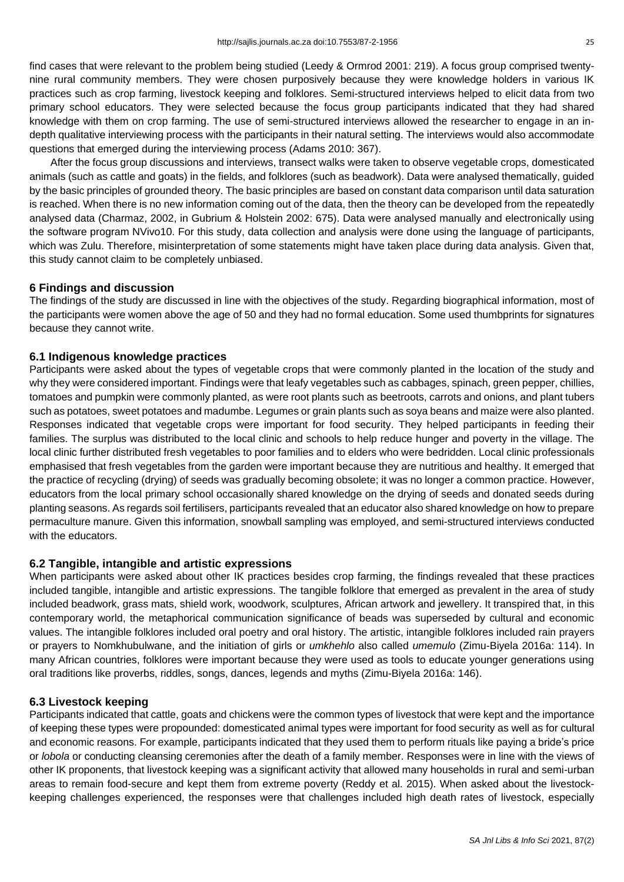find cases that were relevant to the problem being studied (Leedy & Ormrod 2001: 219). A focus group comprised twentynine rural community members. They were chosen purposively because they were knowledge holders in various IK practices such as crop farming, livestock keeping and folklores. Semi-structured interviews helped to elicit data from two primary school educators. They were selected because the focus group participants indicated that they had shared knowledge with them on crop farming. The use of semi-structured interviews allowed the researcher to engage in an indepth qualitative interviewing process with the participants in their natural setting. The interviews would also accommodate questions that emerged during the interviewing process (Adams 2010: 367).

After the focus group discussions and interviews, transect walks were taken to observe vegetable crops, domesticated animals (such as cattle and goats) in the fields, and folklores (such as beadwork). Data were analysed thematically, guided by the basic principles of grounded theory. The basic principles are based on constant data comparison until data saturation is reached. When there is no new information coming out of the data, then the theory can be developed from the repeatedly analysed data (Charmaz, 2002, in Gubrium & Holstein 2002: 675). Data were analysed manually and electronically using the software program NVivo10. For this study, data collection and analysis were done using the language of participants, which was Zulu. Therefore, misinterpretation of some statements might have taken place during data analysis. Given that, this study cannot claim to be completely unbiased.

## **6 Findings and discussion**

The findings of the study are discussed in line with the objectives of the study. Regarding biographical information, most of the participants were women above the age of 50 and they had no formal education. Some used thumbprints for signatures because they cannot write.

## **6.1 Indigenous knowledge practices**

Participants were asked about the types of vegetable crops that were commonly planted in the location of the study and why they were considered important. Findings were that leafy vegetables such as cabbages, spinach, green pepper, chillies, tomatoes and pumpkin were commonly planted, as were root plants such as beetroots, carrots and onions, and plant tubers such as potatoes, sweet potatoes and madumbe. Legumes or grain plants such as soya beans and maize were also planted. Responses indicated that vegetable crops were important for food security. They helped participants in feeding their families. The surplus was distributed to the local clinic and schools to help reduce hunger and poverty in the village. The local clinic further distributed fresh vegetables to poor families and to elders who were bedridden. Local clinic professionals emphasised that fresh vegetables from the garden were important because they are nutritious and healthy. It emerged that the practice of recycling (drying) of seeds was gradually becoming obsolete; it was no longer a common practice. However, educators from the local primary school occasionally shared knowledge on the drying of seeds and donated seeds during planting seasons. As regards soil fertilisers, participants revealed that an educator also shared knowledge on how to prepare permaculture manure. Given this information, snowball sampling was employed, and semi-structured interviews conducted with the educators.

## **6.2 Tangible, intangible and artistic expressions**

When participants were asked about other IK practices besides crop farming, the findings revealed that these practices included tangible, intangible and artistic expressions. The tangible folklore that emerged as prevalent in the area of study included beadwork, grass mats, shield work, woodwork, sculptures, African artwork and jewellery. It transpired that, in this contemporary world, the metaphorical communication significance of beads was superseded by cultural and economic values. The intangible folklores included oral poetry and oral history. The artistic, intangible folklores included rain prayers or prayers to Nomkhubulwane, and the initiation of girls or *umkhehlo* also called *umemulo* (Zimu-Biyela 2016a: 114). In many African countries, folklores were important because they were used as tools to educate younger generations using oral traditions like proverbs, riddles, songs, dances, legends and myths (Zimu-Biyela 2016a: 146).

## **6.3 Livestock keeping**

Participants indicated that cattle, goats and chickens were the common types of livestock that were kept and the importance of keeping these types were propounded: domesticated animal types were important for food security as well as for cultural and economic reasons. For example, participants indicated that they used them to perform rituals like paying a bride's price or *lobola* or conducting cleansing ceremonies after the death of a family member. Responses were in line with the views of other IK proponents, that livestock keeping was a significant activity that allowed many households in rural and semi-urban areas to remain food-secure and kept them from extreme poverty (Reddy et al. 2015). When asked about the livestockkeeping challenges experienced, the responses were that challenges included high death rates of livestock, especially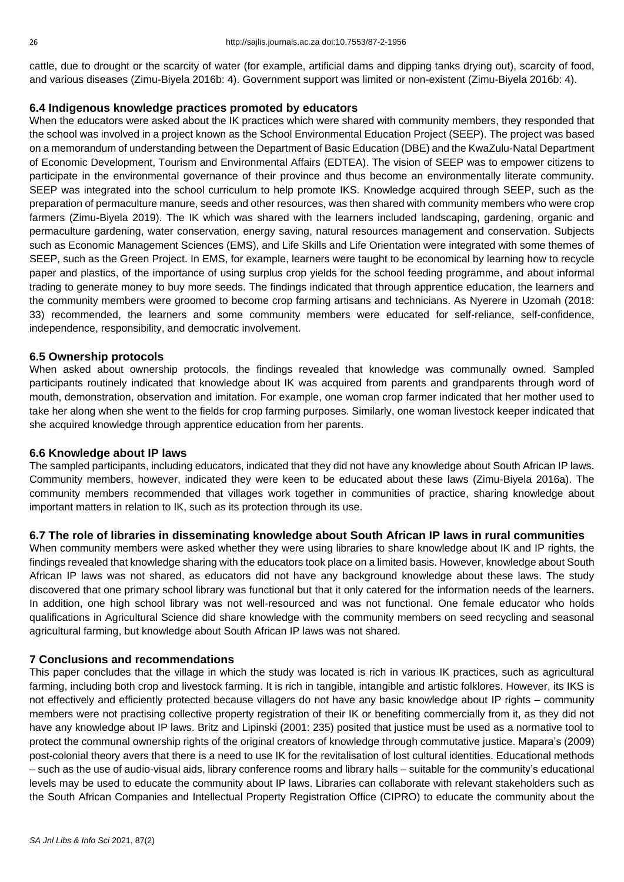cattle, due to drought or the scarcity of water (for example, artificial dams and dipping tanks drying out), scarcity of food, and various diseases (Zimu-Biyela 2016b: 4). Government support was limited or non-existent (Zimu-Biyela 2016b: 4).

# **6.4 Indigenous knowledge practices promoted by educators**

When the educators were asked about the IK practices which were shared with community members, they responded that the school was involved in a project known as the School Environmental Education Project (SEEP). The project was based on a memorandum of understanding between the Department of Basic Education (DBE) and the KwaZulu-Natal Department of Economic Development, Tourism and Environmental Affairs (EDTEA). The vision of SEEP was to empower citizens to participate in the environmental governance of their province and thus become an environmentally literate community. SEEP was integrated into the school curriculum to help promote IKS. Knowledge acquired through SEEP, such as the preparation of permaculture manure, seeds and other resources, was then shared with community members who were crop farmers (Zimu-Biyela 2019). The IK which was shared with the learners included landscaping, gardening, organic and permaculture gardening, water conservation, energy saving, natural resources management and conservation. Subjects such as Economic Management Sciences (EMS), and Life Skills and Life Orientation were integrated with some themes of SEEP, such as the Green Project. In EMS, for example, learners were taught to be economical by learning how to recycle paper and plastics, of the importance of using surplus crop yields for the school feeding programme, and about informal trading to generate money to buy more seeds. The findings indicated that through apprentice education, the learners and the community members were groomed to become crop farming artisans and technicians. As Nyerere in Uzomah (2018: 33) recommended, the learners and some community members were educated for self-reliance, self-confidence, independence, responsibility, and democratic involvement.

# **6.5 Ownership protocols**

When asked about ownership protocols, the findings revealed that knowledge was communally owned. Sampled participants routinely indicated that knowledge about IK was acquired from parents and grandparents through word of mouth, demonstration, observation and imitation. For example, one woman crop farmer indicated that her mother used to take her along when she went to the fields for crop farming purposes. Similarly, one woman livestock keeper indicated that she acquired knowledge through apprentice education from her parents.

# **6.6 Knowledge about IP laws**

The sampled participants, including educators, indicated that they did not have any knowledge about South African IP laws. Community members, however, indicated they were keen to be educated about these laws (Zimu-Biyela 2016a). The community members recommended that villages work together in communities of practice, sharing knowledge about important matters in relation to IK, such as its protection through its use.

# **6.7 The role of libraries in disseminating knowledge about South African IP laws in rural communities**

When community members were asked whether they were using libraries to share knowledge about IK and IP rights, the findings revealed that knowledge sharing with the educators took place on a limited basis. However, knowledge about South African IP laws was not shared, as educators did not have any background knowledge about these laws. The study discovered that one primary school library was functional but that it only catered for the information needs of the learners. In addition, one high school library was not well-resourced and was not functional. One female educator who holds qualifications in Agricultural Science did share knowledge with the community members on seed recycling and seasonal agricultural farming, but knowledge about South African IP laws was not shared.

# **7 Conclusions and recommendations**

This paper concludes that the village in which the study was located is rich in various IK practices, such as agricultural farming, including both crop and livestock farming. It is rich in tangible, intangible and artistic folklores. However, its IKS is not effectively and efficiently protected because villagers do not have any basic knowledge about IP rights – community members were not practising collective property registration of their IK or benefiting commercially from it, as they did not have any knowledge about IP laws. Britz and Lipinski (2001: 235) posited that justice must be used as a normative tool to protect the communal ownership rights of the original creators of knowledge through commutative justice. Mapara's (2009) post-colonial theory avers that there is a need to use IK for the revitalisation of lost cultural identities. Educational methods – such as the use of audio-visual aids, library conference rooms and library halls – suitable for the community's educational levels may be used to educate the community about IP laws. Libraries can collaborate with relevant stakeholders such as the South African Companies and Intellectual Property Registration Office (CIPRO) to educate the community about the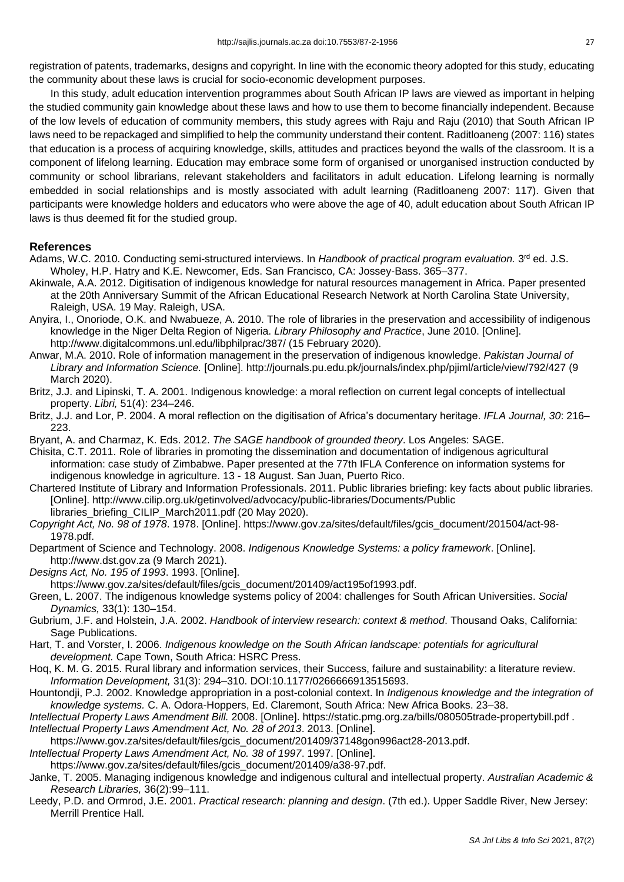registration of patents, trademarks, designs and copyright. In line with the economic theory adopted for this study, educating the community about these laws is crucial for socio-economic development purposes.

In this study, adult education intervention programmes about South African IP laws are viewed as important in helping the studied community gain knowledge about these laws and how to use them to become financially independent. Because of the low levels of education of community members, this study agrees with Raju and Raju (2010) that South African IP laws need to be repackaged and simplified to help the community understand their content. Raditloaneng (2007: 116) states that education is a process of acquiring knowledge, skills, attitudes and practices beyond the walls of the classroom. It is a component of lifelong learning. Education may embrace some form of organised or unorganised instruction conducted by community or school librarians, relevant stakeholders and facilitators in adult education. Lifelong learning is normally embedded in social relationships and is mostly associated with adult learning (Raditloaneng 2007: 117). Given that participants were knowledge holders and educators who were above the age of 40, adult education about South African IP laws is thus deemed fit for the studied group.

## **References**

- Adams, W.C. 2010. Conducting semi-structured interviews. In *Handbook of practical program evaluation.* 3<sup>rd</sup> ed. J.S. Wholey, H.P. Hatry and K.E. Newcomer, Eds. San Francisco, CA: Jossey-Bass. 365–377.
- Akinwale, A.A. 2012. Digitisation of indigenous knowledge for natural resources management in Africa. Paper presented at the 20th Anniversary Summit of the African Educational Research Network at North Carolina State University, Raleigh, USA. 19 May. Raleigh, USA.
- Anyira, I., Onoriode, O.K. and Nwabueze, A. 2010. The role of libraries in the preservation and accessibility of indigenous knowledge in the Niger Delta Region of Nigeria. *Library Philosophy and Practice*, June 2010. [Online]. http://www.digitalcommons.unl.edu/libphilprac/387/ (15 February 2020).
- Anwar, M.A. 2010. Role of information management in the preservation of indigenous knowledge. *Pakistan Journal of Library and Information Science.* [Online]. http://journals.pu.edu.pk/journals/index.php/pjiml/article/view/792/427 (9 March 2020).
- Britz, J.J. and Lipinski, T. A. 2001. Indigenous knowledge: a moral reflection on current legal concepts of intellectual property. *Libri,* 51(4): 234–246.
- Britz, J.J. and Lor, P. 2004. A moral reflection on the digitisation of Africa's documentary heritage. *IFLA Journal, 30*: 216– 223.
- Bryant, A. and Charmaz, K. Eds. 2012. *The SAGE handbook of grounded theory*. Los Angeles: SAGE.
- Chisita, C.T. 2011. Role of libraries in promoting the dissemination and documentation of indigenous agricultural information: case study of Zimbabwe. Paper presented at the 77th IFLA Conference on information systems for indigenous knowledge in agriculture. 13 - 18 August. San Juan, Puerto Rico.
- Chartered Institute of Library and Information Professionals. 2011. Public libraries briefing: key facts about public libraries. [Online]. <http://www.cilip.org.uk/getinvolved/advocacy/public-libraries/Documents/Public>
	- libraries\_briefing\_CILIP\_March2011.pdf (20 May 2020).
- *Copyright Act, No. 98 of 1978*. 1978. [Online]. [https://www.gov.za/sites/default/files/gcis\\_document/201504/act-98-](https://www.gov.za/sites/default/files/gcis_document/201504/act-98-1978.pdf) [1978.pdf.](https://www.gov.za/sites/default/files/gcis_document/201504/act-98-1978.pdf)
- Department of Science and Technology. 2008. *Indigenous Knowledge Systems: a policy framework*. [Online]. http://www.dst.gov.za (9 March 2021).
- *Designs Act, No. 195 of 1993*. 1993. [Online].
- https://www.gov.za/sites/default/files/gcis\_document/201409/act195of1993.pdf.
- Green, L. 2007. The indigenous knowledge systems policy of 2004: challenges for South African Universities. *Social Dynamics,* 33(1): 130–154.
- Gubrium, J.F. and Holstein, J.A. 2002. *Handbook of interview research: context & method*. Thousand Oaks, California: Sage Publications.
- Hart, T. and Vorster, I. 2006. *Indigenous knowledge on the South African landscape: potentials for agricultural development.* Cape Town, South Africa: HSRC Press.
- Hoq, K. M. G. 2015. Rural library and information services, their Success, failure and sustainability: a literature review. *Information Development,* 31(3): 294–310. DOI:10.1177/0266666913515693.
- Hountondji, P.J. 2002. Knowledge appropriation in a post-colonial context. In *Indigenous knowledge and the integration of knowledge systems.* C. A. Odora-Hoppers, Ed. Claremont, South Africa: New Africa Books. 23–38.
- *Intellectual Property Laws Amendment Bill.* 2008. [Online]. https://static.pmg.org.za/bills/080505trade-propertybill.pdf . *Intellectual Property Laws Amendment Act, No. 28 of 2013*. 2013. [Online].
- https://www.gov.za/sites/default/files/gcis\_document/201409/37148gon996act28-2013.pdf.
- *Intellectual Property Laws Amendment Act, No. 38 of 1997*. 1997. [Online].
- https://www.gov.za/sites/default/files/gcis\_document/201409/a38-97.pdf.
- Janke, T. 2005. Managing indigenous knowledge and indigenous cultural and intellectual property. *Australian Academic & Research Libraries,* 36(2):99–111.
- Leedy, P.D. and Ormrod, J.E. 2001. *Practical research: planning and design*. (7th ed.). Upper Saddle River, New Jersey: Merrill Prentice Hall.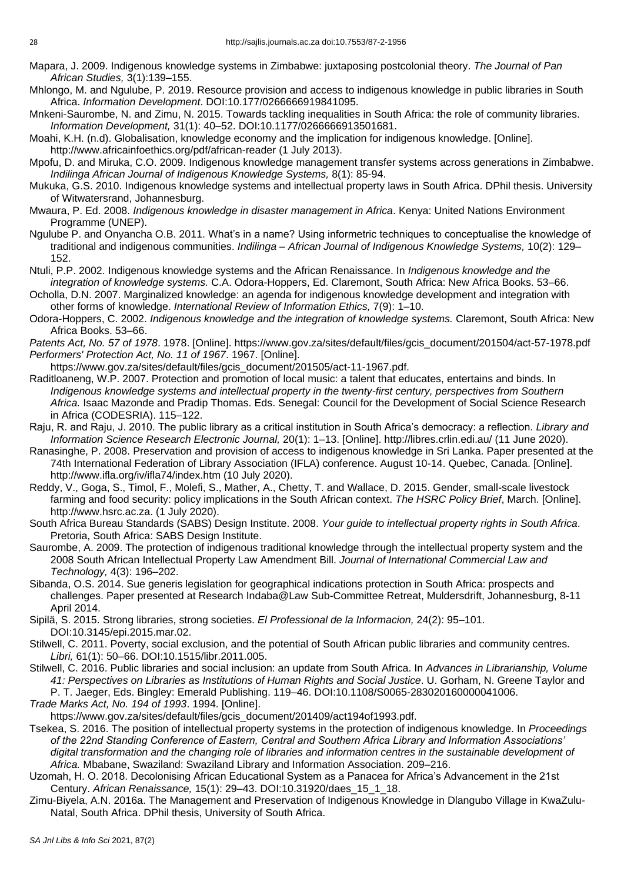- Mapara, J. 2009. Indigenous knowledge systems in Zimbabwe: juxtaposing postcolonial theory. *The Journal of Pan African Studies,* 3(1):139–155.
- Mhlongo, M. and Ngulube, P. 2019. Resource provision and access to indigenous knowledge in public libraries in South Africa. *Information Development*. DOI:10.177/0266666919841095.
- Mnkeni-Saurombe, N. and Zimu, N. 2015. Towards tackling inequalities in South Africa: the role of community libraries. *Information Development,* 31(1): 40–52. DOI:10.1177/0266666913501681.
- Moahi, K.H. (n.d). Globalisation, knowledge economy and the implication for indigenous knowledge. [Online]. http://www.africainfoethics.org/pdf/african-reader (1 July 2013).
- Mpofu, D. and Miruka, C.O. 2009. Indigenous knowledge management transfer systems across generations in Zimbabwe. *Indilinga African Journal of Indigenous Knowledge Systems,* 8(1): 85-94.
- Mukuka, G.S. 2010. Indigenous knowledge systems and intellectual property laws in South Africa. DPhil thesis. University of Witwatersrand, Johannesburg.
- Mwaura, P. Ed. 2008. *Indigenous knowledge in disaster management in Africa*. Kenya: United Nations Environment Programme (UNEP).
- Ngulube P. and Onyancha O.B. 2011. What's in a name? Using informetric techniques to conceptualise the knowledge of traditional and indigenous communities. *Indilinga – African Journal of Indigenous Knowledge Systems,* 10(2): 129– 152.
- Ntuli, P.P. 2002. Indigenous knowledge systems and the African Renaissance. In *Indigenous knowledge and the integration of knowledge systems.* C.A. Odora-Hoppers, Ed. Claremont, South Africa: New Africa Books. 53–66.
- Ocholla, D.N. 2007. Marginalized knowledge: an agenda for indigenous knowledge development and integration with other forms of knowledge. *International Review of Information Ethics,* 7(9): 1–10.
- Odora-Hoppers, C. 2002. *Indigenous knowledge and the integration of knowledge systems.* Claremont, South Africa: New Africa Books. 53–66.
- *Patents Act, No. 57 of 1978*. 1978. [Online]. https://www.gov.za/sites/default/files/gcis\_document/201504/act-57-1978.pdf *Performers' Protection Act, No. 11 of 1967*. 1967. [Online].
- [https://www.gov.za/sites/default/files/gcis\\_document/201505/act-11-1967.pdf.](https://www.gov.za/sites/default/files/gcis_document/201505/act-11-1967.pdf)
- Raditloaneng, W.P. 2007. Protection and promotion of local music: a talent that educates, entertains and binds. In *Indigenous knowledge systems and intellectual property in the twenty-first century, perspectives from Southern Africa.* Isaac Mazonde and Pradip Thomas. Eds. Senegal: Council for the Development of Social Science Research in Africa (CODESRIA). 115–122.
- Raju, R. and Raju, J. 2010. The public library as a critical institution in South Africa's democracy: a reflection. *Library and Information Science Research Electronic Journal,* 20(1): 1–13. [Online]. http://libres.crlin.edi.au/ (11 June 2020).
- Ranasinghe, P. 2008. Preservation and provision of access to indigenous knowledge in Sri Lanka. Paper presented at the 74th International Federation of Library Association (IFLA) conference. August 10-14. Quebec, Canada. [Online]. http://www.ifla.org/iv/ifla74/index.htm (10 July 2020).
- Reddy, V., Goga, S., Timol, F., Molefi, S., Mather, A., Chetty, T. and Wallace, D. 2015. Gender, small-scale livestock farming and food security: policy implications in the South African context. *The HSRC Policy Brief*, March. [Online]. http://www.hsrc.ac.za. (1 July 2020).
- South Africa Bureau Standards (SABS) Design Institute. 2008. *Your guide to intellectual property rights in South Africa*. Pretoria, South Africa: SABS Design Institute.
- Saurombe, A. 2009. The protection of indigenous traditional knowledge through the intellectual property system and the 2008 South African Intellectual Property Law Amendment Bill. *Journal of International Commercial Law and Technology,* 4(3): 196–202.
- Sibanda, O.S. 2014. Sue generis legislation for geographical indications protection in South Africa: prospects and challenges. Paper presented at Research Indaba@Law Sub-Committee Retreat, Muldersdrift, Johannesburg, 8-11 April 2014.
- Sipilä, S. 2015. Strong libraries, strong societies. *El Professional de la Informacion,* 24(2): 95–101. DOI:10.3145/epi.2015.mar.02.
- Stilwell, C. 2011. Poverty, social exclusion, and the potential of South African public libraries and community centres. *Libri,* 61(1): 50–66. DOI:10.1515/libr.2011.005.
- Stilwell, C. 2016. Public libraries and social inclusion: an update from South Africa. In *Advances in Librarianship, Volume 41: Perspectives on Libraries as Institutions of Human Rights and Social Justice*. U. Gorham, N. Greene Taylor and P. T. Jaeger, Eds. Bingley: Emerald Publishing. 119–46. DOI:10.1108/S0065-283020160000041006.
- *Trade Marks Act, No. 194 of 1993*. 1994. [Online]. [https://www.gov.za/sites/default/files/gcis\\_document/201409/act194of1993.pdf.](https://www.gov.za/sites/default/files/gcis_document/201409/act194of1993.pdf)
- Tsekea, S. 2016. The position of intellectual property systems in the protection of indigenous knowledge. In *Proceedings of the 22nd Standing Conference of Eastern, Central and Southern Africa Library and Information Associations' digital transformation and the changing role of libraries and information centres in the sustainable development of Africa.* Mbabane, Swaziland: Swaziland Library and Information Association. 209–216.
- Uzomah, H. O. 2018. Decolonising African Educational System as a Panacea for Africa's Advancement in the 21st Century. *African Renaissance,* 15(1): 29–43. DOI:10.31920/daes\_15\_1\_18.
- Zimu-Biyela, A.N. 2016a. The Management and Preservation of Indigenous Knowledge in Dlangubo Village in KwaZulu-Natal, South Africa. DPhil thesis, University of South Africa.